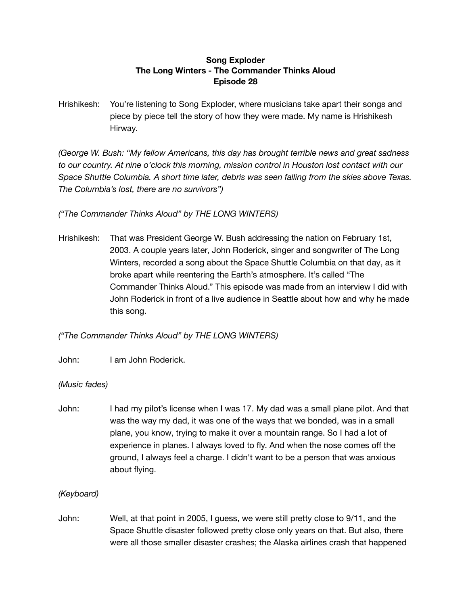# **Song Exploder The Long Winters - The Commander Thinks Aloud Episode 28**

Hrishikesh: You're listening to Song Exploder, where musicians take apart their songs and piece by piece tell the story of how they were made. My name is Hrishikesh Hirway.

*(George W. Bush: "My fellow Americans, this day has brought terrible news and great sadness to our country. At nine o'clock this morning, mission control in Houston lost contact with our Space Shuttle Columbia. A short time later, debris was seen falling from the skies above Texas. The Columbia's lost, there are no survivors")*

*("The Commander Thinks Aloud" by THE LONG WINTERS)*

Hrishikesh: That was President George W. Bush addressing the nation on February 1st, 2003. A couple years later, John Roderick, singer and songwriter of The Long Winters, recorded a song about the Space Shuttle Columbia on that day, as it broke apart while reentering the Earth's atmosphere. It's called "The Commander Thinks Aloud." This episode was made from an interview I did with John Roderick in front of a live audience in Seattle about how and why he made this song.

*("The Commander Thinks Aloud" by THE LONG WINTERS)*

John: I am John Roderick.

# *(Music fades)*

John: I had my pilot's license when I was 17. My dad was a small plane pilot. And that was the way my dad, it was one of the ways that we bonded, was in a small plane, you know, trying to make it over a mountain range. So I had a lot of experience in planes. I always loved to fly. And when the nose comes off the ground, I always feel a charge. I didn't want to be a person that was anxious about flying.

# *(Keyboard)*

John: Well, at that point in 2005, I guess, we were still pretty close to 9/11, and the Space Shuttle disaster followed pretty close only years on that. But also, there were all those smaller disaster crashes; the Alaska airlines crash that happened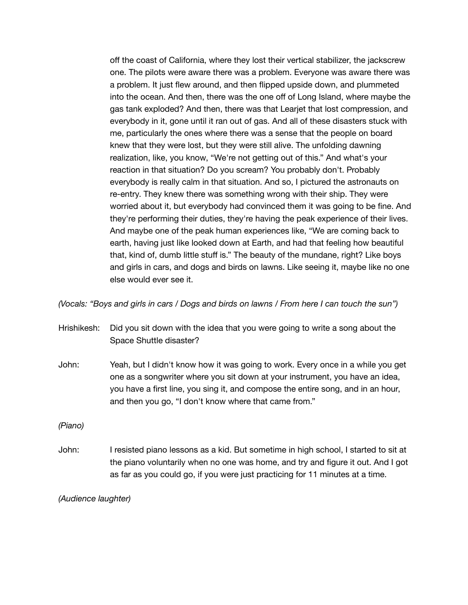off the coast of California, where they lost their vertical stabilizer, the jackscrew one. The pilots were aware there was a problem. Everyone was aware there was a problem. It just flew around, and then flipped upside down, and plummeted into the ocean. And then, there was the one off of Long Island, where maybe the gas tank exploded? And then, there was that Learjet that lost compression, and everybody in it, gone until it ran out of gas. And all of these disasters stuck with me, particularly the ones where there was a sense that the people on board knew that they were lost, but they were still alive. The unfolding dawning realization, like, you know, "We're not getting out of this." And what's your reaction in that situation? Do you scream? You probably don't. Probably everybody is really calm in that situation. And so, I pictured the astronauts on re-entry. They knew there was something wrong with their ship. They were worried about it, but everybody had convinced them it was going to be fine. And they're performing their duties, they're having the peak experience of their lives. And maybe one of the peak human experiences like, "We are coming back to earth, having just like looked down at Earth, and had that feeling how beautiful that, kind of, dumb little stuff is." The beauty of the mundane, right? Like boys and girls in cars, and dogs and birds on lawns. Like seeing it, maybe like no one else would ever see it.

(Vocals: "Boys and girls in cars / Dogs and birds on lawns / From here I can touch the sun")

- Hrishikesh: Did you sit down with the idea that you were going to write a song about the Space Shuttle disaster?
- John: Yeah, but I didn't know how it was going to work. Every once in a while you get one as a songwriter where you sit down at your instrument, you have an idea, you have a first line, you sing it, and compose the entire song, and in an hour, and then you go, "I don't know where that came from."

*(Piano)*

John: I resisted piano lessons as a kid. But sometime in high school, I started to sit at the piano voluntarily when no one was home, and try and figure it out. And I got as far as you could go, if you were just practicing for 11 minutes at a time.

*(Audience laughter)*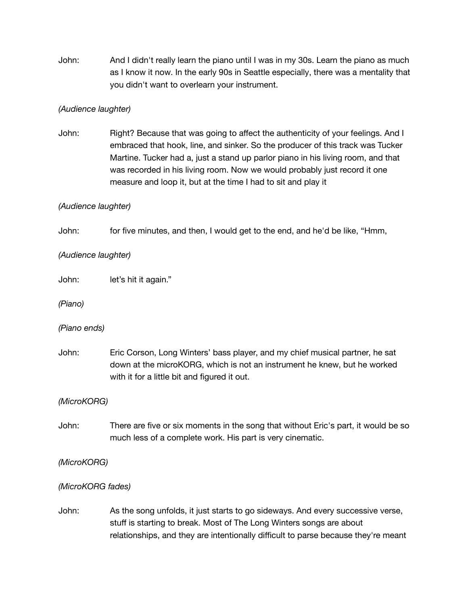John: And I didn't really learn the piano until I was in my 30s. Learn the piano as much as I know it now. In the early 90s in Seattle especially, there was a mentality that you didn't want to overlearn your instrument.

# *(Audience laughter)*

John: Right? Because that was going to affect the authenticity of your feelings. And I embraced that hook, line, and sinker. So the producer of this track was Tucker Martine. Tucker had a, just a stand up parlor piano in his living room, and that was recorded in his living room. Now we would probably just record it one measure and loop it, but at the time I had to sit and play it

# *(Audience laughter)*

John: for five minutes, and then, I would get to the end, and he'd be like, "Hmm,

# *(Audience laughter)*

John: let's hit it again."

*(Piano)*

*(Piano ends)*

John: Eric Corson, Long Winters' bass player, and my chief musical partner, he sat down at the microKORG, which is not an instrument he knew, but he worked with it for a little bit and figured it out.

*(MicroKORG)*

John: There are five or six moments in the song that without Eric's part, it would be so much less of a complete work. His part is very cinematic.

*(MicroKORG)*

#### *(MicroKORG fades)*

John: As the song unfolds, it just starts to go sideways. And every successive verse, stuff is starting to break. Most of The Long Winters songs are about relationships, and they are intentionally difficult to parse because they're meant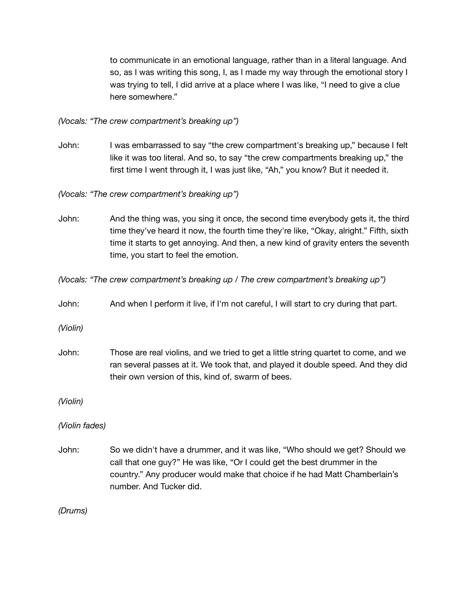to communicate in an emotional language, rather than in a literal language. And so, as I was writing this song, I, as I made my way through the emotional story I was trying to tell, I did arrive at a place where I was like, "I need to give a clue here somewhere."

*(Vocals: "The crew compartment's breaking up")*

John: I was embarrassed to say "the crew compartment's breaking up," because I felt like it was too literal. And so, to say "the crew compartments breaking up," the first time I went through it, I was just like, "Ah," you know? But it needed it.

*(Vocals: "The crew compartment's breaking up")*

John: And the thing was, you sing it once, the second time everybody gets it, the third time they've heard it now, the fourth time they're like, "Okay, alright." Fifth, sixth time it starts to get annoying. And then, a new kind of gravity enters the seventh time, you start to feel the emotion.

*(Vocals: "The crew compartment's breaking up / The crew compartment's breaking up")*

John: And when I perform it live, if I'm not careful, I will start to cry during that part.

*(Violin)*

John: Those are real violins, and we tried to get a little string quartet to come, and we ran several passes at it. We took that, and played it double speed. And they did their own version of this, kind of, swarm of bees.

*(Violin)*

*(Violin fades)*

John: So we didn't have a drummer, and it was like, "Who should we get? Should we call that one guy?" He was like, "Or I could get the best drummer in the country." Any producer would make that choice if he had Matt Chamberlain's number. And Tucker did.

*(Drums)*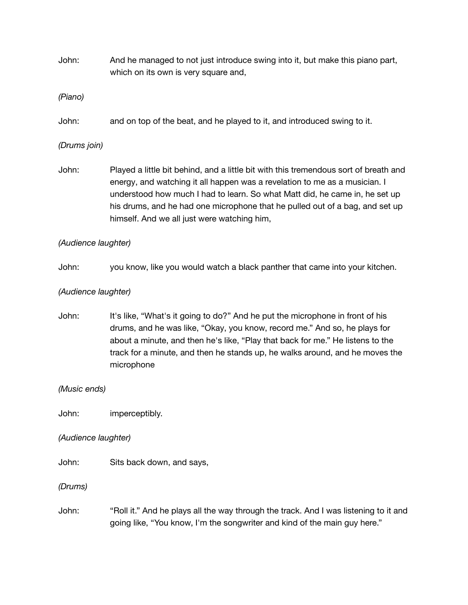John: And he managed to not just introduce swing into it, but make this piano part, which on its own is very square and,

*(Piano)*

John: and on top of the beat, and he played to it, and introduced swing to it.

# *(Drums join)*

John: Played a little bit behind, and a little bit with this tremendous sort of breath and energy, and watching it all happen was a revelation to me as a musician. I understood how much I had to learn. So what Matt did, he came in, he set up his drums, and he had one microphone that he pulled out of a bag, and set up himself. And we all just were watching him,

# *(Audience laughter)*

John: you know, like you would watch a black panther that came into your kitchen.

# *(Audience laughter)*

John: It's like, "What's it going to do?" And he put the microphone in front of his drums, and he was like, "Okay, you know, record me." And so, he plays for about a minute, and then he's like, "Play that back for me." He listens to the track for a minute, and then he stands up, he walks around, and he moves the microphone

*(Music ends)*

John: imperceptibly.

*(Audience laughter)*

John: Sits back down, and says,

*(Drums)*

John: "Roll it." And he plays all the way through the track. And I was listening to it and going like, "You know, I'm the songwriter and kind of the main guy here."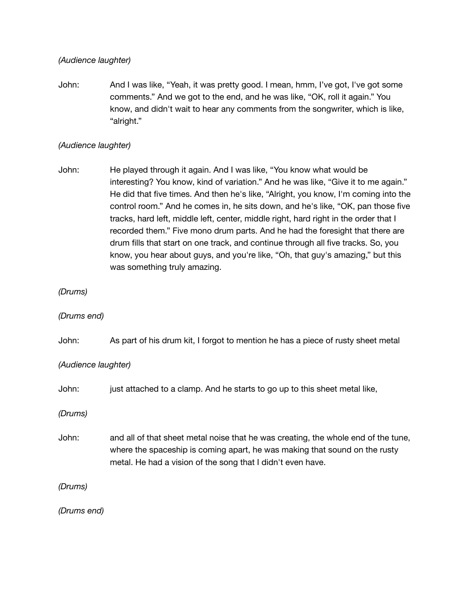#### *(Audience laughter)*

John: And I was like, "Yeah, it was pretty good. I mean, hmm, I've got, I've got some comments." And we got to the end, and he was like, "OK, roll it again." You know, and didn't wait to hear any comments from the songwriter, which is like, "alright."

### *(Audience laughter)*

John: He played through it again. And I was like, "You know what would be interesting? You know, kind of variation." And he was like, "Give it to me again." He did that five times. And then he's like, "Alright, you know, I'm coming into the control room." And he comes in, he sits down, and he's like, "OK, pan those five tracks, hard left, middle left, center, middle right, hard right in the order that I recorded them." Five mono drum parts. And he had the foresight that there are drum fills that start on one track, and continue through all five tracks. So, you know, you hear about guys, and you're like, "Oh, that guy's amazing," but this was something truly amazing.

#### *(Drums)*

#### *(Drums end)*

John: As part of his drum kit, I forgot to mention he has a piece of rusty sheet metal

*(Audience laughter)*

John: just attached to a clamp. And he starts to go up to this sheet metal like,

*(Drums)*

John: and all of that sheet metal noise that he was creating, the whole end of the tune, where the spaceship is coming apart, he was making that sound on the rusty metal. He had a vision of the song that I didn't even have.

*(Drums)*

*(Drums end)*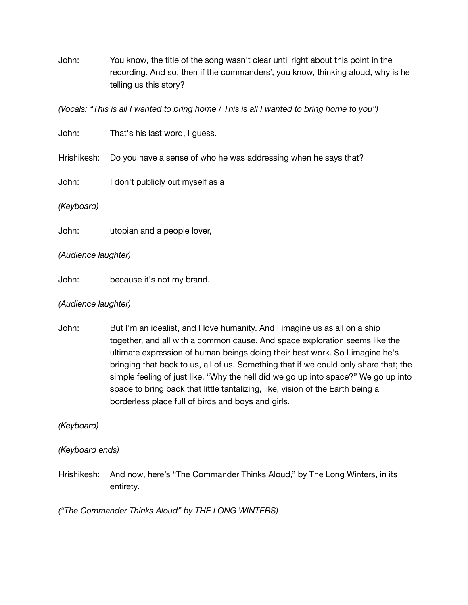John: You know, the title of the song wasn't clear until right about this point in the recording. And so, then if the commanders', you know, thinking aloud, why is he telling us this story?

(Vocals: "This is all I wanted to bring home / This is all I wanted to bring home to you")

| John:               | That's his last word, I guess.                                              |
|---------------------|-----------------------------------------------------------------------------|
|                     | Hrishikesh: Do you have a sense of who he was addressing when he says that? |
| John:               | I don't publicly out myself as a                                            |
| (Keyboard)          |                                                                             |
| John:               | utopian and a people lover,                                                 |
| (Audience laughter) |                                                                             |

John: because it's not my brand.

# *(Audience laughter)*

John: But I'm an idealist, and I love humanity. And I imagine us as all on a ship together, and all with a common cause. And space exploration seems like the ultimate expression of human beings doing their best work. So I imagine he's bringing that back to us, all of us. Something that if we could only share that; the simple feeling of just like, "Why the hell did we go up into space?" We go up into space to bring back that little tantalizing, like, vision of the Earth being a borderless place full of birds and boys and girls.

*(Keyboard)*

*(Keyboard ends)*

Hrishikesh: And now, here's "The Commander Thinks Aloud," by The Long Winters, in its entirety.

*("The Commander Thinks Aloud" by THE LONG WINTERS)*